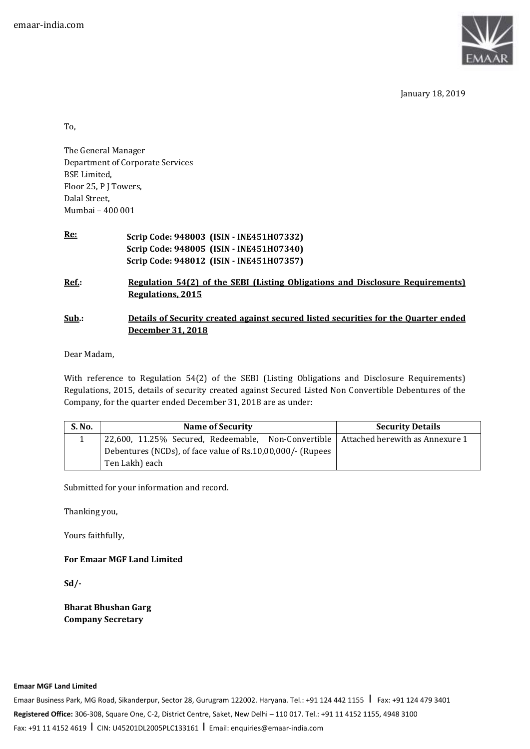

January 18, 2019

To,

The General Manager Department of Corporate Services BSE Limited, Floor 25, P J Towers, Dalal Street, Mumbai – 400 001

**Re: Scrip Code: 948003 (ISIN - INE451H07332) Scrip Code: 948005 (ISIN - INE451H07340) Scrip Code: 948012 (ISIN - INE451H07357)** 

**Ref.: Regulation 54(2) of the SEBI (Listing Obligations and Disclosure Requirements) Regulations, 2015** 

## **Sub.: Details of Security created against secured listed securities for the Quarter ended December 31, 2018**

Dear Madam,

With reference to Regulation 54(2) of the SEBI (Listing Obligations and Disclosure Requirements) Regulations, 2015, details of security created against Secured Listed Non Convertible Debentures of the Company, for the quarter ended December 31, 2018 are as under:

| S. No. | <b>Name of Security</b>                                                               | <b>Security Details</b> |  |
|--------|---------------------------------------------------------------------------------------|-------------------------|--|
|        | 22,600, 11.25% Secured, Redeemable, Non-Convertible   Attached herewith as Annexure 1 |                         |  |
|        | Debentures (NCDs), of face value of Rs.10,00,000/- (Rupees                            |                         |  |
|        | Ten Lakh) each                                                                        |                         |  |

Submitted for your information and record.

Thanking you,

Yours faithfully,

**For Emaar MGF Land Limited** 

**Sd/-** 

**Bharat Bhushan Garg Company Secretary**

**Emaar MGF Land Limited** 

Emaar Business Park, MG Road, Sikanderpur, Sector 28, Gurugram 122002. Haryana. Tel.: +91 124 442 1155 | Fax: +91 124 479 3401 **Registered Office:** 306-308, Square One, C-2, District Centre, Saket, New Delhi – 110 017. Tel.: +91 11 4152 1155, 4948 3100 Fax: +91 11 4152 4619 I CIN: U45201DL2005PLC133161 I Email: enquiries@emaar-india.com